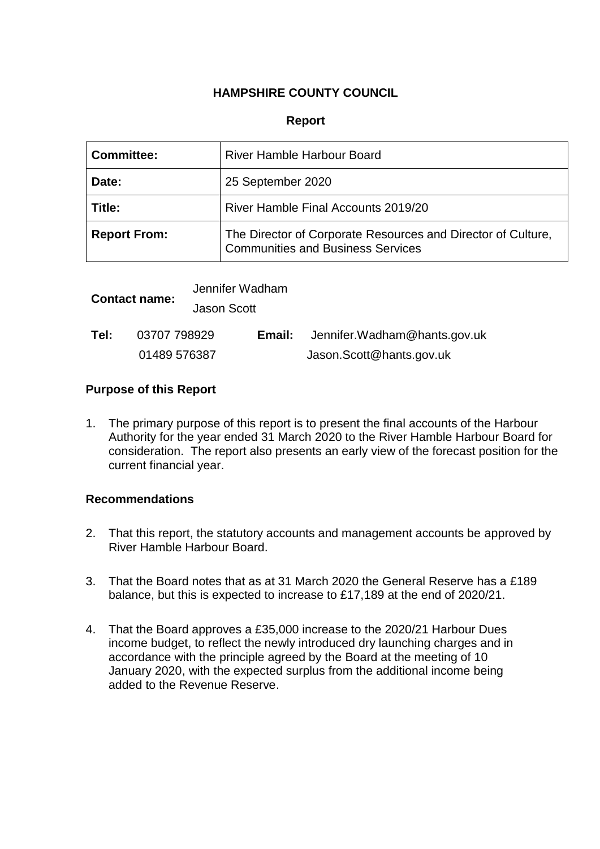## **HAMPSHIRE COUNTY COUNCIL**

### **Report**

| <b>Committee:</b>   | River Hamble Harbour Board                                                                               |  |
|---------------------|----------------------------------------------------------------------------------------------------------|--|
| Date:               | 25 September 2020                                                                                        |  |
| Title:              | River Hamble Final Accounts 2019/20                                                                      |  |
| <b>Report From:</b> | The Director of Corporate Resources and Director of Culture,<br><b>Communities and Business Services</b> |  |

| <b>Contact name:</b> |              | Jennifer Wadham    |        |                              |  |
|----------------------|--------------|--------------------|--------|------------------------------|--|
|                      |              | <b>Jason Scott</b> |        |                              |  |
| Tel:                 | 03707 798929 |                    | Email: | Jennifer.Wadham@hants.gov.uk |  |
|                      | 01489 576387 |                    |        | Jason.Scott@hants.gov.uk     |  |

### **Purpose of this Report**

1. The primary purpose of this report is to present the final accounts of the Harbour Authority for the year ended 31 March 2020 to the River Hamble Harbour Board for consideration. The report also presents an early view of the forecast position for the current financial year.

### **Recommendations**

- 2. That this report, the statutory accounts and management accounts be approved by River Hamble Harbour Board.
- 3. That the Board notes that as at 31 March 2020 the General Reserve has a £189 balance, but this is expected to increase to £17,189 at the end of 2020/21.
- 4. That the Board approves a £35,000 increase to the 2020/21 Harbour Dues income budget, to reflect the newly introduced dry launching charges and in accordance with the principle agreed by the Board at the meeting of 10 January 2020, with the expected surplus from the additional income being added to the Revenue Reserve.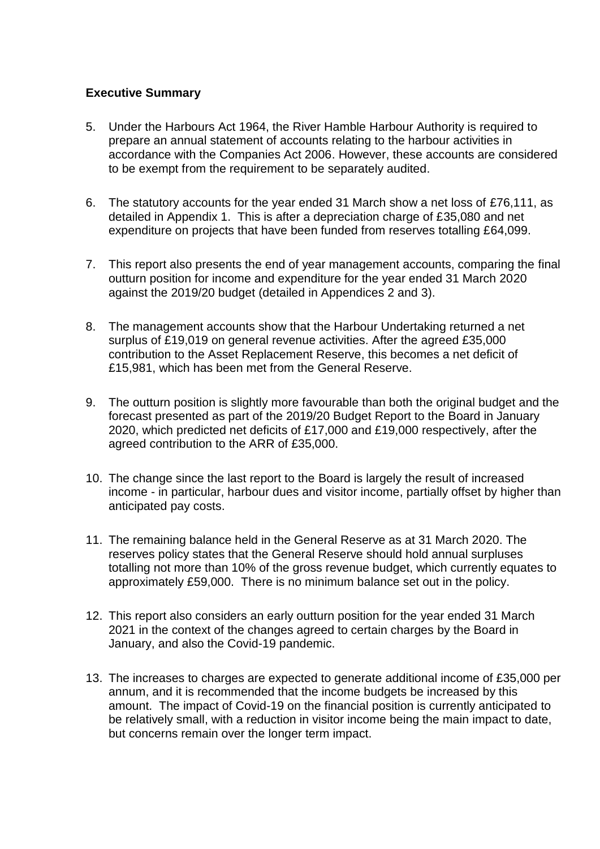## **Executive Summary**

- 5. Under the Harbours Act 1964, the River Hamble Harbour Authority is required to prepare an annual statement of accounts relating to the harbour activities in accordance with the Companies Act 2006. However, these accounts are considered to be exempt from the requirement to be separately audited.
- 6. The statutory accounts for the year ended 31 March show a net loss of £76,111, as detailed in Appendix 1. This is after a depreciation charge of £35,080 and net expenditure on projects that have been funded from reserves totalling £64,099.
- 7. This report also presents the end of year management accounts, comparing the final outturn position for income and expenditure for the year ended 31 March 2020 against the 2019/20 budget (detailed in Appendices 2 and 3).
- 8. The management accounts show that the Harbour Undertaking returned a net surplus of £19,019 on general revenue activities. After the agreed £35,000 contribution to the Asset Replacement Reserve, this becomes a net deficit of £15,981, which has been met from the General Reserve.
- 9. The outturn position is slightly more favourable than both the original budget and the forecast presented as part of the 2019/20 Budget Report to the Board in January 2020, which predicted net deficits of £17,000 and £19,000 respectively, after the agreed contribution to the ARR of £35,000.
- 10. The change since the last report to the Board is largely the result of increased income - in particular, harbour dues and visitor income, partially offset by higher than anticipated pay costs.
- 11. The remaining balance held in the General Reserve as at 31 March 2020. The reserves policy states that the General Reserve should hold annual surpluses totalling not more than 10% of the gross revenue budget, which currently equates to approximately £59,000. There is no minimum balance set out in the policy.
- 12. This report also considers an early outturn position for the year ended 31 March 2021 in the context of the changes agreed to certain charges by the Board in January, and also the Covid-19 pandemic.
- 13. The increases to charges are expected to generate additional income of £35,000 per annum, and it is recommended that the income budgets be increased by this amount. The impact of Covid-19 on the financial position is currently anticipated to be relatively small, with a reduction in visitor income being the main impact to date, but concerns remain over the longer term impact.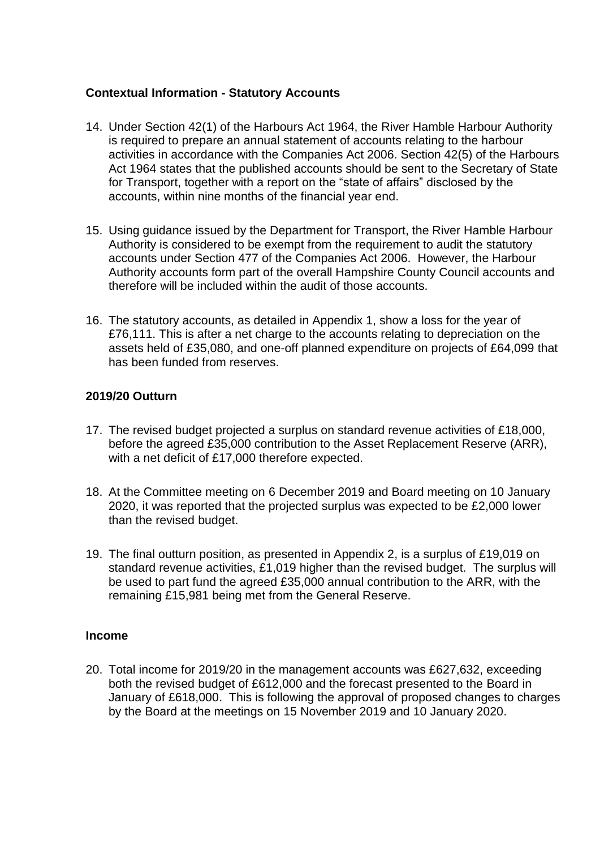## **Contextual Information - Statutory Accounts**

- 14. Under Section 42(1) of the Harbours Act 1964, the River Hamble Harbour Authority is required to prepare an annual statement of accounts relating to the harbour activities in accordance with the Companies Act 2006. Section 42(5) of the Harbours Act 1964 states that the published accounts should be sent to the Secretary of State for Transport, together with a report on the "state of affairs" disclosed by the accounts, within nine months of the financial year end.
- 15. Using guidance issued by the Department for Transport, the River Hamble Harbour Authority is considered to be exempt from the requirement to audit the statutory accounts under Section 477 of the Companies Act 2006. However, the Harbour Authority accounts form part of the overall Hampshire County Council accounts and therefore will be included within the audit of those accounts.
- 16. The statutory accounts, as detailed in Appendix 1, show a loss for the year of £76,111. This is after a net charge to the accounts relating to depreciation on the assets held of £35,080, and one-off planned expenditure on projects of £64,099 that has been funded from reserves.

## **2019/20 Outturn**

- 17. The revised budget projected a surplus on standard revenue activities of £18,000, before the agreed £35,000 contribution to the Asset Replacement Reserve (ARR), with a net deficit of £17,000 therefore expected.
- 18. At the Committee meeting on 6 December 2019 and Board meeting on 10 January 2020, it was reported that the projected surplus was expected to be £2,000 lower than the revised budget.
- 19. The final outturn position, as presented in Appendix 2, is a surplus of £19,019 on standard revenue activities, £1,019 higher than the revised budget. The surplus will be used to part fund the agreed £35,000 annual contribution to the ARR, with the remaining £15,981 being met from the General Reserve.

### **Income**

20. Total income for 2019/20 in the management accounts was £627,632, exceeding both the revised budget of £612,000 and the forecast presented to the Board in January of £618,000. This is following the approval of proposed changes to charges by the Board at the meetings on 15 November 2019 and 10 January 2020.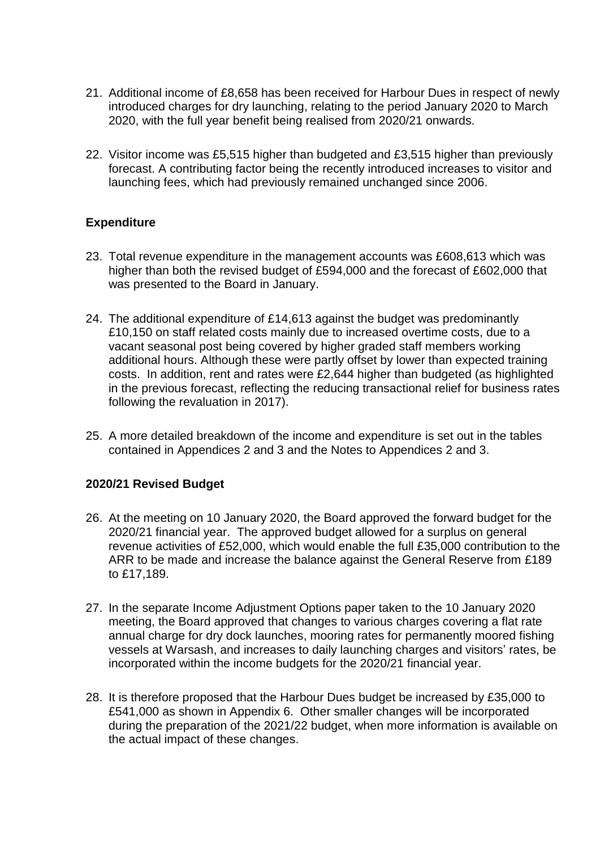- 21. Additional income of £8,658 has been received for Harbour Dues in respect of newly introduced charges for dry launching, relating to the period January 2020 to March 2020, with the full year benefit being realised from 2020/21 onwards.
- 22. Visitor income was £5,515 higher than budgeted and £3,515 higher than previously forecast. A contributing factor being the recently introduced increases to visitor and launching fees, which had previously remained unchanged since 2006.

## **Expenditure**

- 23. Total revenue expenditure in the management accounts was £608,613 which was higher than both the revised budget of £594,000 and the forecast of £602,000 that was presented to the Board in January.
- 24. The additional expenditure of £14,613 against the budget was predominantly £10,150 on staff related costs mainly due to increased overtime costs, due to a vacant seasonal post being covered by higher graded staff members working additional hours. Although these were partly offset by lower than expected training costs. In addition, rent and rates were £2,644 higher than budgeted (as highlighted in the previous forecast, reflecting the reducing transactional relief for business rates following the revaluation in 2017).
- 25. A more detailed breakdown of the income and expenditure is set out in the tables contained in Appendices 2 and 3 and the Notes to Appendices 2 and 3.

## **2020/21 Revised Budget**

- 26. At the meeting on 10 January 2020, the Board approved the forward budget for the 2020/21 financial year. The approved budget allowed for a surplus on general revenue activities of £52,000, which would enable the full £35,000 contribution to the ARR to be made and increase the balance against the General Reserve from £189 to £17,189.
- 27. In the separate Income Adjustment Options paper taken to the 10 January 2020 meeting, the Board approved that changes to various charges covering a flat rate annual charge for dry dock launches, mooring rates for permanently moored fishing vessels at Warsash, and increases to daily launching charges and visitors' rates, be incorporated within the income budgets for the 2020/21 financial year.
- 28. It is therefore proposed that the Harbour Dues budget be increased by £35,000 to £541,000 as shown in Appendix 6. Other smaller changes will be incorporated during the preparation of the 2021/22 budget, when more information is available on the actual impact of these changes.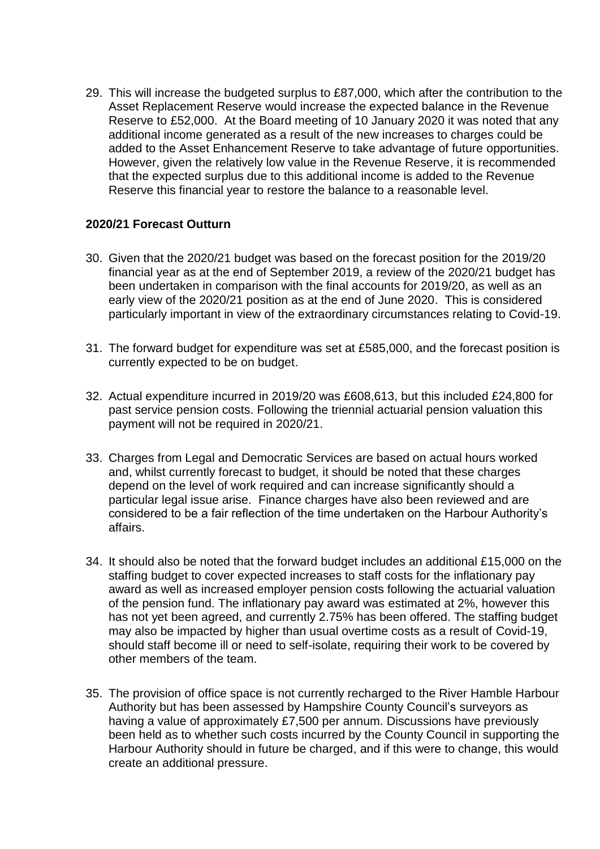29. This will increase the budgeted surplus to £87,000, which after the contribution to the Asset Replacement Reserve would increase the expected balance in the Revenue Reserve to £52,000. At the Board meeting of 10 January 2020 it was noted that any additional income generated as a result of the new increases to charges could be added to the Asset Enhancement Reserve to take advantage of future opportunities. However, given the relatively low value in the Revenue Reserve, it is recommended that the expected surplus due to this additional income is added to the Revenue Reserve this financial year to restore the balance to a reasonable level.

## **2020/21 Forecast Outturn**

- 30. Given that the 2020/21 budget was based on the forecast position for the 2019/20 financial year as at the end of September 2019, a review of the 2020/21 budget has been undertaken in comparison with the final accounts for 2019/20, as well as an early view of the 2020/21 position as at the end of June 2020. This is considered particularly important in view of the extraordinary circumstances relating to Covid-19.
- 31. The forward budget for expenditure was set at £585,000, and the forecast position is currently expected to be on budget.
- 32. Actual expenditure incurred in 2019/20 was £608,613, but this included £24,800 for past service pension costs. Following the triennial actuarial pension valuation this payment will not be required in 2020/21.
- 33. Charges from Legal and Democratic Services are based on actual hours worked and, whilst currently forecast to budget, it should be noted that these charges depend on the level of work required and can increase significantly should a particular legal issue arise. Finance charges have also been reviewed and are considered to be a fair reflection of the time undertaken on the Harbour Authority's affairs.
- 34. It should also be noted that the forward budget includes an additional £15,000 on the staffing budget to cover expected increases to staff costs for the inflationary pay award as well as increased employer pension costs following the actuarial valuation of the pension fund. The inflationary pay award was estimated at 2%, however this has not yet been agreed, and currently 2.75% has been offered. The staffing budget may also be impacted by higher than usual overtime costs as a result of Covid-19, should staff become ill or need to self-isolate, requiring their work to be covered by other members of the team.
- 35. The provision of office space is not currently recharged to the River Hamble Harbour Authority but has been assessed by Hampshire County Council's surveyors as having a value of approximately £7,500 per annum. Discussions have previously been held as to whether such costs incurred by the County Council in supporting the Harbour Authority should in future be charged, and if this were to change, this would create an additional pressure.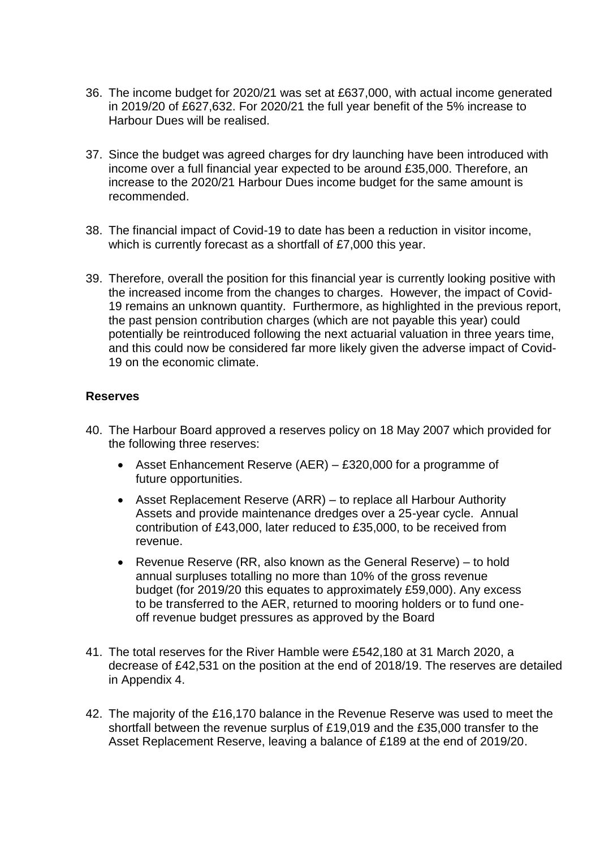- 36. The income budget for 2020/21 was set at £637,000, with actual income generated in 2019/20 of £627,632. For 2020/21 the full year benefit of the 5% increase to Harbour Dues will be realised.
- 37. Since the budget was agreed charges for dry launching have been introduced with income over a full financial year expected to be around £35,000. Therefore, an increase to the 2020/21 Harbour Dues income budget for the same amount is recommended.
- 38. The financial impact of Covid-19 to date has been a reduction in visitor income, which is currently forecast as a shortfall of £7,000 this year.
- 39. Therefore, overall the position for this financial year is currently looking positive with the increased income from the changes to charges. However, the impact of Covid-19 remains an unknown quantity. Furthermore, as highlighted in the previous report, the past pension contribution charges (which are not payable this year) could potentially be reintroduced following the next actuarial valuation in three years time, and this could now be considered far more likely given the adverse impact of Covid-19 on the economic climate.

### **Reserves**

- 40. The Harbour Board approved a reserves policy on 18 May 2007 which provided for the following three reserves:
	- Asset Enhancement Reserve (AER) £320,000 for a programme of future opportunities.
	- Asset Replacement Reserve (ARR) to replace all Harbour Authority Assets and provide maintenance dredges over a 25-year cycle. Annual contribution of £43,000, later reduced to £35,000, to be received from revenue.
	- Revenue Reserve (RR, also known as the General Reserve) to hold annual surpluses totalling no more than 10% of the gross revenue budget (for 2019/20 this equates to approximately £59,000). Any excess to be transferred to the AER, returned to mooring holders or to fund oneoff revenue budget pressures as approved by the Board
- 41. The total reserves for the River Hamble were £542,180 at 31 March 2020, a decrease of £42,531 on the position at the end of 2018/19. The reserves are detailed in Appendix 4.
- 42. The majority of the £16,170 balance in the Revenue Reserve was used to meet the shortfall between the revenue surplus of £19,019 and the £35,000 transfer to the Asset Replacement Reserve, leaving a balance of £189 at the end of 2019/20.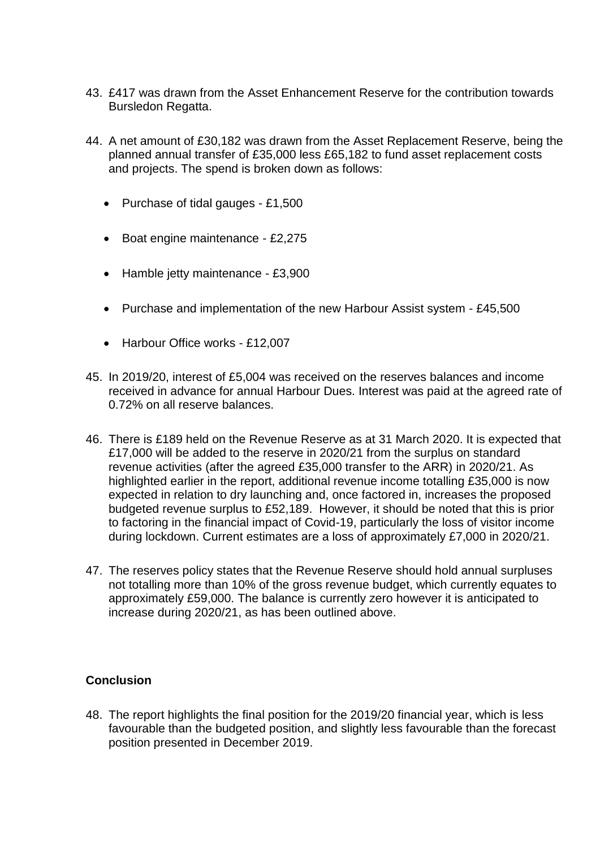- 43. £417 was drawn from the Asset Enhancement Reserve for the contribution towards Bursledon Regatta.
- 44. A net amount of £30,182 was drawn from the Asset Replacement Reserve, being the planned annual transfer of £35,000 less £65,182 to fund asset replacement costs and projects. The spend is broken down as follows:
	- Purchase of tidal gauges £1,500
	- Boat engine maintenance £2,275
	- Hamble jetty maintenance £3,900
	- Purchase and implementation of the new Harbour Assist system £45,500
	- Harbour Office works £12,007
- 45. In 2019/20, interest of £5,004 was received on the reserves balances and income received in advance for annual Harbour Dues. Interest was paid at the agreed rate of 0.72% on all reserve balances.
- 46. There is £189 held on the Revenue Reserve as at 31 March 2020. It is expected that £17,000 will be added to the reserve in 2020/21 from the surplus on standard revenue activities (after the agreed £35,000 transfer to the ARR) in 2020/21. As highlighted earlier in the report, additional revenue income totalling £35,000 is now expected in relation to dry launching and, once factored in, increases the proposed budgeted revenue surplus to £52,189. However, it should be noted that this is prior to factoring in the financial impact of Covid-19, particularly the loss of visitor income during lockdown. Current estimates are a loss of approximately £7,000 in 2020/21.
- 47. The reserves policy states that the Revenue Reserve should hold annual surpluses not totalling more than 10% of the gross revenue budget, which currently equates to approximately £59,000. The balance is currently zero however it is anticipated to increase during 2020/21, as has been outlined above.

### **Conclusion**

48. The report highlights the final position for the 2019/20 financial year, which is less favourable than the budgeted position, and slightly less favourable than the forecast position presented in December 2019.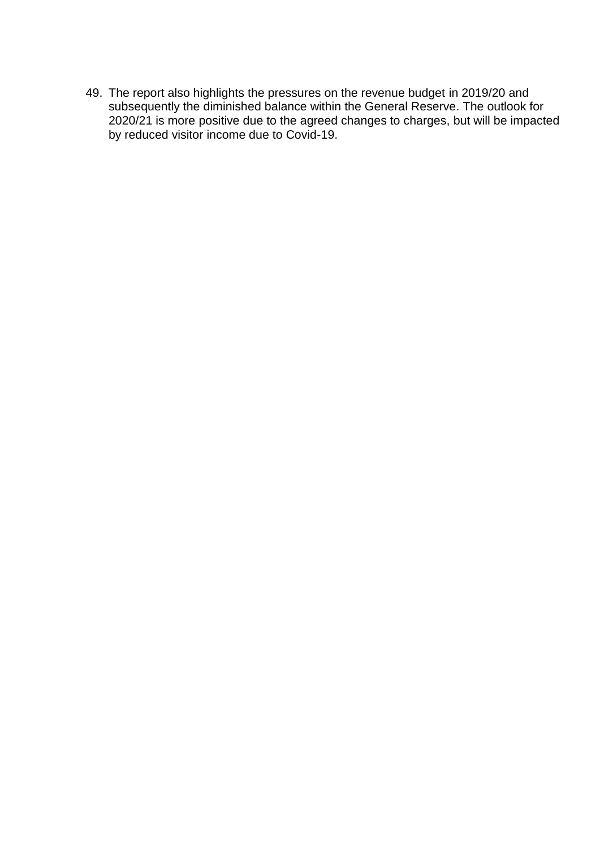49. The report also highlights the pressures on the revenue budget in 2019/20 and subsequently the diminished balance within the General Reserve. The outlook for 2020/21 is more positive due to the agreed changes to charges, but will be impacted by reduced visitor income due to Covid-19.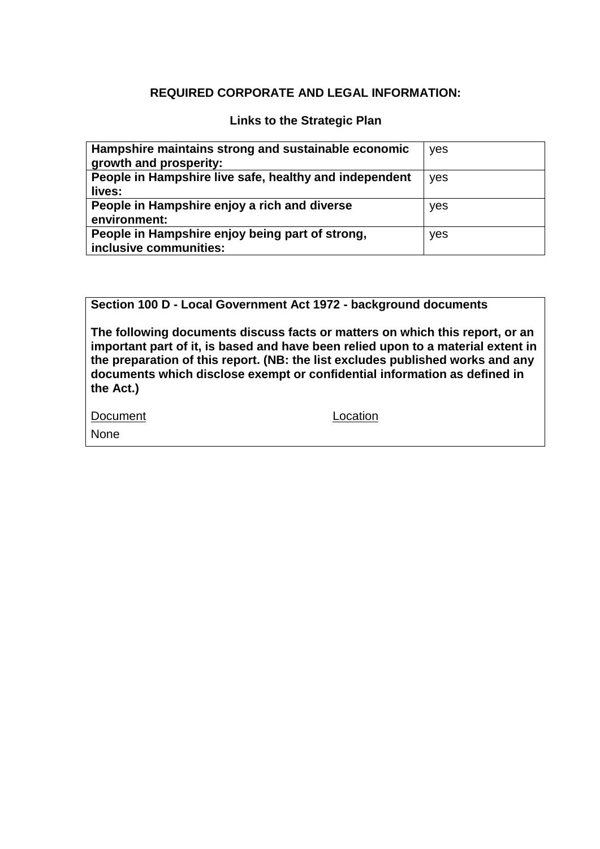## **REQUIRED CORPORATE AND LEGAL INFORMATION:**

## **Links to the Strategic Plan**

| Hampshire maintains strong and sustainable economic<br>growth and prosperity: | yes |
|-------------------------------------------------------------------------------|-----|
| People in Hampshire live safe, healthy and independent<br>lives:              | yes |
| People in Hampshire enjoy a rich and diverse<br>environment:                  | yes |
| People in Hampshire enjoy being part of strong,<br>inclusive communities:     | yes |

**Section 100 D - Local Government Act 1972 - background documents**

**The following documents discuss facts or matters on which this report, or an important part of it, is based and have been relied upon to a material extent in the preparation of this report. (NB: the list excludes published works and any documents which disclose exempt or confidential information as defined in the Act.)**

| Document | Location |
|----------|----------|
| None     |          |